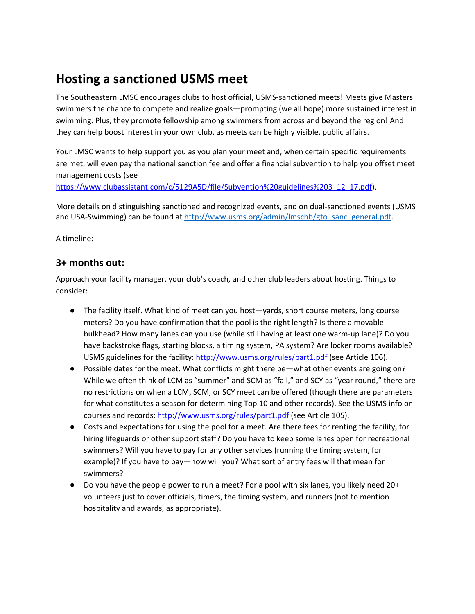# **Hosting a sanctioned USMS meet**

The Southeastern LMSC encourages clubs to host official, USMS-sanctioned meets! Meets give Masters swimmers the chance to compete and realize goals—prompting (we all hope) more sustained interest in swimming. Plus, they promote fellowship among swimmers from across and beyond the region! And they can help boost interest in your own club, as meets can be highly visible, public affairs.

Your LMSC wants to help support you as you plan your meet and, when certain specific requirements are met, will even pay the national sanction fee and offer a financial subvention to help you offset meet management costs (see

[https://www.clubassistant.com/c/5129A5D/file/Subvention%20guidelines%203\\_12\\_17.pdf\)](https://www.clubassistant.com/c/5129A5D/file/Subvention%20guidelines%203_12_17.pdf).

More details on distinguishing sanctioned and recognized events, and on dual-sanctioned events (USMS and USA-Swimming) can be found at [http://www.usms.org/admin/lmschb/gto\\_sanc\\_general.pdf.](http://www.usms.org/admin/lmschb/gto_sanc_general.pdf)

A timeline:

## **3+ months out:**

Approach your facility manager, your club's coach, and other club leaders about hosting. Things to consider:

- The facility itself. What kind of meet can you host—yards, short course meters, long course meters? Do you have confirmation that the pool is the right length? Is there a movable bulkhead? How many lanes can you use (while still having at least one warm-up lane)? Do you have backstroke flags, starting blocks, a timing system, PA system? Are locker rooms available? USMS guidelines for the facility: <http://www.usms.org/rules/part1.pdf> (see Article 106).
- Possible dates for the meet. What conflicts might there be—what other events are going on? While we often think of LCM as "summer" and SCM as "fall," and SCY as "year round," there are no restrictions on when a LCM, SCM, or SCY meet can be offered (though there are parameters for what constitutes a season for determining Top 10 and other records). See the USMS info on courses and records: <http://www.usms.org/rules/part1.pdf> (see Article 105).
- Costs and expectations for using the pool for a meet. Are there fees for renting the facility, for hiring lifeguards or other support staff? Do you have to keep some lanes open for recreational swimmers? Will you have to pay for any other services (running the timing system, for example)? If you have to pay—how will you? What sort of entry fees will that mean for swimmers?
- Do you have the people power to run a meet? For a pool with six lanes, you likely need 20+ volunteers just to cover officials, timers, the timing system, and runners (not to mention hospitality and awards, as appropriate).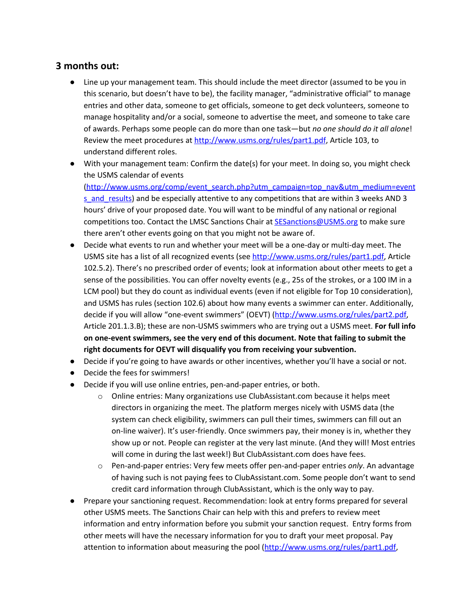## **3 months out:**

- Line up your management team. This should include the meet director (assumed to be you in this scenario, but doesn't have to be), the facility manager, "administrative official" to manage entries and other data, someone to get officials, someone to get deck volunteers, someone to manage hospitality and/or a social, someone to advertise the meet, and someone to take care of awards. Perhaps some people can do more than one task—but *no one should do it all alone*! Review the meet procedures at <http://www.usms.org/rules/part1.pdf>, Article 103, to understand different roles.
- With your management team: Confirm the date(s) for your meet. In doing so, you might check the USMS calendar of events

[\(http://www.usms.org/comp/event\\_search.php?utm\\_campaign=top\\_nav&utm\\_medium=event](http://www.usms.org/comp/event_search.php?utm_campaign=top_nav&utm_medium=events_and_results) s and results) and be especially attentive to any competitions that are within 3 weeks AND 3 hours' drive of your proposed date. You will want to be mindful of any national or regional competitions too. Contact the LMSC Sanctions Chair at **[SESanctions@USMS.org](mailto:SESanctions@USMS.org)** to make sure there aren't other events going on that you might not be aware of.

- Decide what events to run and whether your meet will be a one-day or multi-day meet. The USMS site has a list of all recognized events (see <http://www.usms.org/rules/part1.pdf>, Article 102.5.2). There's no prescribed order of events; look at information about other meets to get a sense of the possibilities. You can offer novelty events (e.g., 25s of the strokes, or a 100 IM in a LCM pool) but they do count as individual events (even if not eligible for Top 10 consideration), and USMS has rules (section 102.6) about how many events a swimmer can enter. Additionally, decide if you will allow "one-event swimmers" (OEVT) (<http://www.usms.org/rules/part2.pdf>, Article 201.1.3.B); these are non-USMS swimmers who are trying out a USMS meet. **For full info on one-event swimmers, see the very end of this document. Note that failing to submit the right documents for OEVT will disqualify you from receiving your subvention.**
- Decide if you're going to have awards or other incentives, whether you'll have a social or not.
- Decide the fees for swimmers!
- Decide if you will use online entries, pen-and-paper entries, or both.
	- o Online entries: Many organizations use ClubAssistant.com because it helps meet directors in organizing the meet. The platform merges nicely with USMS data (the system can check eligibility, swimmers can pull their times, swimmers can fill out an on-line waiver). It's user-friendly. Once swimmers pay, their money is in, whether they show up or not. People can register at the very last minute. (And they will! Most entries will come in during the last week!) But ClubAssistant.com does have fees.
	- o Pen-and-paper entries: Very few meets offer pen-and-paper entries *only*. An advantage of having such is not paying fees to ClubAssistant.com. Some people don't want to send credit card information through ClubAssistant, which is the only way to pay.
- Prepare your sanctioning request. Recommendation: look at entry forms prepared for several other USMS meets. The Sanctions Chair can help with this and prefers to review meet information and entry information before you submit your sanction request. Entry forms from other meets will have the necessary information for you to draft your meet proposal. Pay attention to information about measuring the pool ([http://www.usms.org/rules/part1.pdf,](http://www.usms.org/rules/part1.pdf)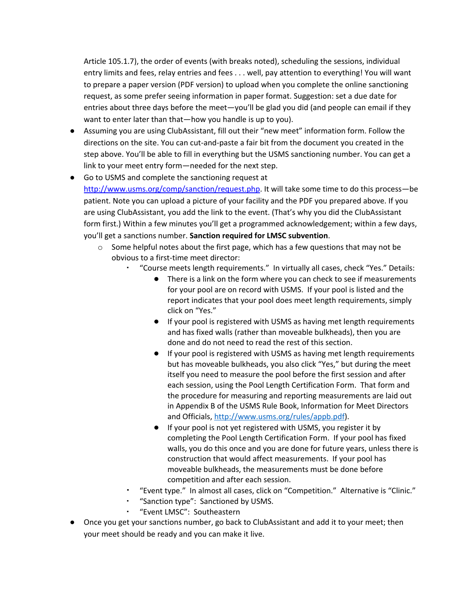Article 105.1.7), the order of events (with breaks noted), scheduling the sessions, individual entry limits and fees, relay entries and fees . . . well, pay attention to everything! You will want to prepare a paper version (PDF version) to upload when you complete the online sanctioning request, as some prefer seeing information in paper format. Suggestion: set a due date for entries about three days before the meet—you'll be glad you did (and people can email if they want to enter later than that—how you handle is up to you).

- Assuming you are using ClubAssistant, fill out their "new meet" information form. Follow the directions on the site. You can cut-and-paste a fair bit from the document you created in the step above. You'll be able to fill in everything but the USMS sanctioning number. You can get a link to your meet entry form—needed for the next step.
- Go to USMS and complete the sanctioning request at <http://www.usms.org/comp/sanction/request.php>. It will take some time to do this process—be patient. Note you can upload a picture of your facility and the PDF you prepared above. If you are using ClubAssistant, you add the link to the event. (That's why you did the ClubAssistant form first.) Within a few minutes you'll get a programmed acknowledgement; within a few days, you'll get a sanctions number. **Sanction required for LMSC subvention**.
	- $\circ$  Some helpful notes about the first page, which has a few questions that may not be obvious to a first-time meet director:
		- "Course meets length requirements." In virtually all cases, check "Yes." Details:
			- There is a link on the form where you can check to see if measurements for your pool are on record with USMS. If your pool is listed and the report indicates that your pool does meet length requirements, simply click on "Yes."
			- If your pool is registered with USMS as having met length requirements and has fixed walls (rather than moveable bulkheads), then you are done and do not need to read the rest of this section.
			- If your pool is registered with USMS as having met length requirements but has moveable bulkheads, you also click "Yes," but during the meet itself you need to measure the pool before the first session and after each session, using the Pool Length Certification Form. That form and the procedure for measuring and reporting measurements are laid out in Appendix B of the USMS Rule Book, Information for Meet Directors and Officials, [http://www.usms.org/rules/appb.pdf\)](http://www.usms.org/rules/appb.pdf).
			- If your pool is not yet registered with USMS, you register it by completing the Pool Length Certification Form. If your pool has fixed walls, you do this once and you are done for future years, unless there is construction that would affect measurements. If your pool has moveable bulkheads, the measurements must be done before competition and after each session.
		- "Event type." In almost all cases, click on "Competition." Alternative is "Clinic."
		- "Sanction type": Sanctioned by USMS.
		- "Event LMSC": Southeastern
- Once you get your sanctions number, go back to ClubAssistant and add it to your meet; then your meet should be ready and you can make it live.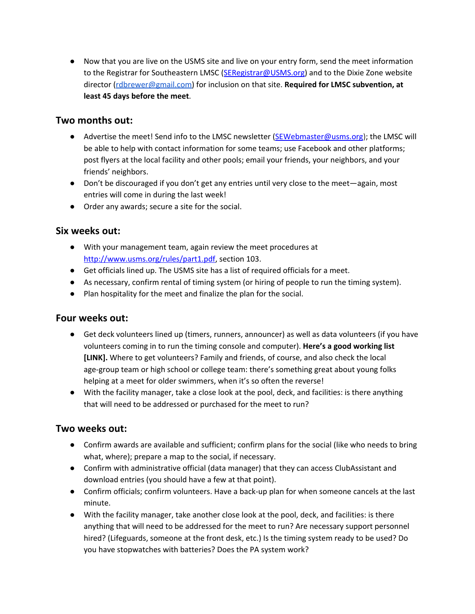● Now that you are live on the USMS site and live on your entry form, send the meet information to the Registrar for Southeastern LMSC ([SERegistrar@USMS.org\)](mailto:SERegistrar@USMS.org) and to the Dixie Zone website director [\(rdbrewer@gmail.com\)](mailto:rdbrewer@gmail.com) for inclusion on that site. **Required for LMSC subvention, at least 45 days before the meet**.

#### **Two months out:**

- Advertise the meet! Send info to the LMSC newsletter ([SEWebmaster@usms.org](mailto:SEWebmaster@usms.org)); the LMSC will be able to help with contact information for some teams; use Facebook and other platforms; post flyers at the local facility and other pools; email your friends, your neighbors, and your friends' neighbors.
- Don't be discouraged if you don't get any entries until very close to the meet—again, most entries will come in during the last week!
- Order any awards; secure a site for the social.

#### **Six weeks out:**

- With your management team, again review the meet procedures at [http://www.usms.org/rules/part1.pdf,](http://www.usms.org/rules/part1.pdf) section 103.
- Get officials lined up. The USMS site has a list of required officials for a meet.
- As necessary, confirm rental of timing system (or hiring of people to run the timing system).
- Plan hospitality for the meet and finalize the plan for the social.

#### **Four weeks out:**

- Get deck volunteers lined up (timers, runners, announcer) as well as data volunteers (if you have volunteers coming in to run the timing console and computer). **Here's a good working list [LINK].** Where to get volunteers? Family and friends, of course, and also check the local age-group team or high school or college team: there's something great about young folks helping at a meet for older swimmers, when it's so often the reverse!
- With the facility manager, take a close look at the pool, deck, and facilities: is there anything that will need to be addressed or purchased for the meet to run?

#### **Two weeks out:**

- Confirm awards are available and sufficient; confirm plans for the social (like who needs to bring what, where); prepare a map to the social, if necessary.
- Confirm with administrative official (data manager) that they can access ClubAssistant and download entries (you should have a few at that point).
- Confirm officials; confirm volunteers. Have a back-up plan for when someone cancels at the last minute.
- With the facility manager, take another close look at the pool, deck, and facilities: is there anything that will need to be addressed for the meet to run? Are necessary support personnel hired? (Lifeguards, someone at the front desk, etc.) Is the timing system ready to be used? Do you have stopwatches with batteries? Does the PA system work?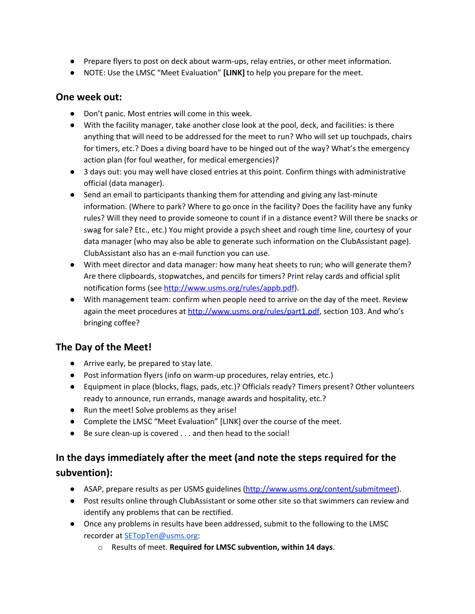- Prepare flyers to post on deck about warm-ups, relay entries, or other meet information.
- NOTE: Use the LMSC "Meet Evaluation" **[LINK]** to help you prepare for the meet.

#### **One week out:**

- Don't panic. Most entries will come in this week.
- With the facility manager, take another close look at the pool, deck, and facilities: is there anything that will need to be addressed for the meet to run? Who will set up touchpads, chairs for timers, etc.? Does a diving board have to be hinged out of the way? What's the emergency action plan (for foul weather, for medical emergencies)?
- 3 days out: you may well have closed entries at this point. Confirm things with administrative official (data manager).
- Send an email to participants thanking them for attending and giving any last-minute information. (Where to park? Where to go once in the facility? Does the facility have any funky rules? Will they need to provide someone to count if in a distance event? Will there be snacks or swag for sale? Etc., etc.) You might provide a psych sheet and rough time line, courtesy of your data manager (who may also be able to generate such information on the ClubAssistant page). ClubAssistant also has an e-mail function you can use.
- With meet director and data manager: how many heat sheets to run; who will generate them? Are there clipboards, stopwatches, and pencils for timers? Print relay cards and official split notification forms (see [http://www.usms.org/rules/appb.pdf\)](http://www.usms.org/rules/appb.pdf).
- With management team: confirm when people need to arrive on the day of the meet. Review again the meet procedures at [http://www.usms.org/rules/part1.pdf,](http://www.usms.org/rules/part1.pdf) section 103. And who's bringing coffee?

## **The Day of the Meet!**

- Arrive early, be prepared to stay late.
- Post information flyers (info on warm-up procedures, relay entries, etc.)
- Equipment in place (blocks, flags, pads, etc.)? Officials ready? Timers present? Other volunteers ready to announce, run errands, manage awards and hospitality, etc.?
- Run the meet! Solve problems as they arise!
- Complete the LMSC "Meet Evaluation" [LINK] over the course of the meet.
- Be sure clean-up is covered . . . and then head to the social!

## **In the days immediately after the meet (and note the steps required for the subvention):**

- ASAP, prepare results as per USMS guidelines [\(http://www.usms.org/content/submitmeet\)](http://www.usms.org/content/submitmeet).
- Post results online through ClubAssistant or some other site so that swimmers can review and identify any problems that can be rectified.
- Once any problems in results have been addressed, submit to the following to the LMSC recorder at [SETopTen@usms.org](mailto:SETopTen@usms.org):
	- o Results of meet. **Required for LMSC subvention, within 14 days**.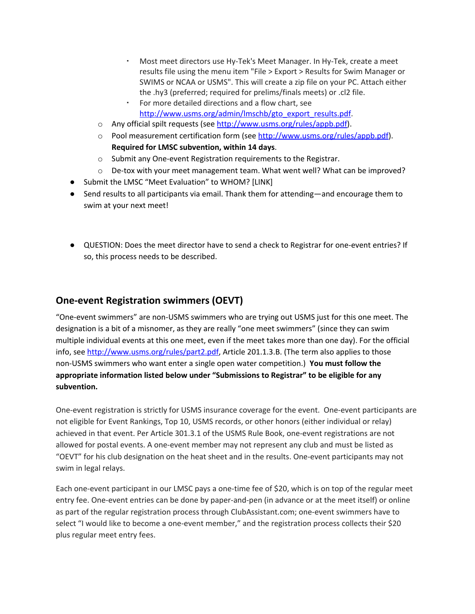- Most meet directors use Hy-Tek's Meet Manager. In Hy-Tek, create a meet results file using the menu item "File > Export > Results for Swim Manager or SWIMS or NCAA or USMS". This will create a zip file on your PC. Attach either the .hy3 (preferred; required for prelims/finals meets) or .cl2 file.
- For more detailed directions and a flow chart, see [http://www.usms.org/admin/lmschb/gto\\_export\\_results.pdf](http://www.usms.org/admin/lmschb/gto_export_results.pdf).
- o Any official spilt requests (see [http://www.usms.org/rules/appb.pdf\)](http://www.usms.org/rules/appb.pdf).
- o Pool measurement certification form (see [http://www.usms.org/rules/appb.pdf\)](http://www.usms.org/rules/appb.pdf). **Required for LMSC subvention, within 14 days**.
- o Submit any One-event Registration requirements to the Registrar.
- o De-tox with your meet management team. What went well? What can be improved?
- Submit the LMSC "Meet Evaluation" to WHOM? [LINK]
- Send results to all participants via email. Thank them for attending—and encourage them to swim at your next meet!
- QUESTION: Does the meet director have to send a check to Registrar for one-event entries? If so, this process needs to be described.

## **One-event Registration swimmers (OEVT)**

"One-event swimmers" are non-USMS swimmers who are trying out USMS just for this one meet. The designation is a bit of a misnomer, as they are really "one meet swimmers" (since they can swim multiple individual events at this one meet, even if the meet takes more than one day). For the official info, see <http://www.usms.org/rules/part2.pdf>, Article 201.1.3.B. (The term also applies to those non-USMS swimmers who want enter a single open water competition.) **You must follow the appropriate information listed below under "Submissions to Registrar" to be eligible for any subvention.**

One-event registration is strictly for USMS insurance coverage for the event. One-event participants are not eligible for Event Rankings, Top 10, USMS records, or other honors (either individual or relay) achieved in that event. Per Article 301.3.1 of the USMS Rule Book, one-event registrations are not allowed for postal events. A one-event member may not represent any club and must be listed as "OEVT" for his club designation on the heat sheet and in the results. One-event participants may not swim in legal relays.

Each one-event participant in our LMSC pays a one-time fee of \$20, which is on top of the regular meet entry fee. One-event entries can be done by paper-and-pen (in advance or at the meet itself) or online as part of the regular registration process through ClubAssistant.com; one-event swimmers have to select "I would like to become a one-event member," and the registration process collects their \$20 plus regular meet entry fees.